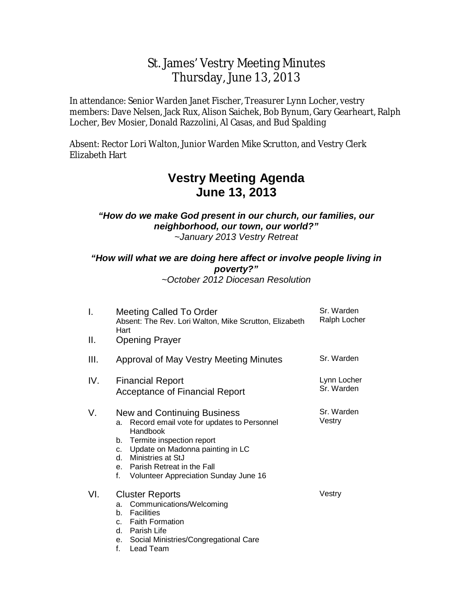# St. James' Vestry Meeting Minutes Thursday, June 13, 2013

In attendance: Senior Warden Janet Fischer, Treasurer Lynn Locher, vestry members: Dave Nelsen, Jack Rux, Alison Saichek, Bob Bynum, Gary Gearheart, Ralph Locher, Bev Mosier, Donald Razzolini, Al Casas, and Bud Spalding

Absent: Rector Lori Walton, Junior Warden Mike Scrutton, and Vestry Clerk Elizabeth Hart

# **Vestry Meeting Agenda June 13, 2013**

### *"How do we make God present in our church, our families, our neighborhood, our town, our world?" ~January 2013 Vestry Retreat*

# *"How will what we are doing here affect or involve people living in poverty?"*

*~October 2012 Diocesan Resolution* 

| Ι.   | Meeting Called To Order<br>Absent: The Rev. Lori Walton, Mike Scrutton, Elizabeth<br>Hart                                                                                                                                                                                     | Sr. Warden<br>Ralph Locher |
|------|-------------------------------------------------------------------------------------------------------------------------------------------------------------------------------------------------------------------------------------------------------------------------------|----------------------------|
| Ⅱ.   | <b>Opening Prayer</b>                                                                                                                                                                                                                                                         |                            |
| III. | Approval of May Vestry Meeting Minutes                                                                                                                                                                                                                                        | Sr. Warden                 |
| IV.  | <b>Financial Report</b><br><b>Acceptance of Financial Report</b>                                                                                                                                                                                                              | Lynn Locher<br>Sr. Warden  |
| V.   | New and Continuing Business<br>Record email vote for updates to Personnel<br>a.<br>Handbook<br>Termite inspection report<br>b.<br>c. Update on Madonna painting in LC<br>d. Ministries at StJ<br>e. Parish Retreat in the Fall<br>f.<br>Volunteer Appreciation Sunday June 16 | Sr. Warden<br>Vestry       |
| VI.  | <b>Cluster Reports</b><br>Communications/Welcoming<br>a.<br><b>Facilities</b><br>b.<br>c. Faith Formation<br>d. Parish Life<br>Social Ministries/Congregational Care<br>е.<br>f.<br>Lead Team                                                                                 | Vestry                     |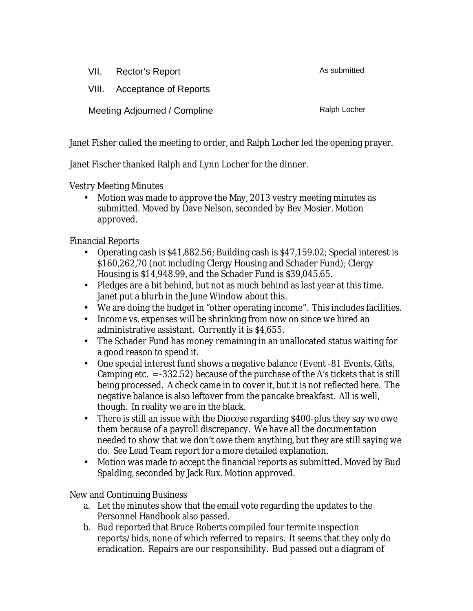| VII. | Rector's Report              | As submitted |
|------|------------------------------|--------------|
|      | VIII. Acceptance of Reports  |              |
|      | Meeting Adjourned / Compline | Ralph Locher |

Janet Fisher called the meeting to order, and Ralph Locher led the opening prayer.

Janet Fischer thanked Ralph and Lynn Locher for the dinner.

Vestry Meeting Minutes

• Motion was made to approve the May, 2013 vestry meeting minutes as submitted. Moved by Dave Nelson, seconded by Bev Mosier. Motion approved.

Financial Reports

- Operating cash is \$41,882.56; Building cash is \$47,159.02; Special interest is \$160,262,70 (not including Clergy Housing and Schader Fund); Clergy Housing is \$14,948.99, and the Schader Fund is \$39,045.65.
- Pledges are a bit behind, but not as much behind as last year at this time. Janet put a blurb in the June Window about this.
- We are doing the budget in "other operating income". This includes facilities.
- Income vs. expenses will be shrinking from now on since we hired an administrative assistant. Currently it is \$4,655.
- The Schader Fund has money remaining in an unallocated status waiting for a good reason to spend it.
- One special interest fund shows a negative balance (Event -81 Events, Gifts, Camping etc. = -332.52) because of the purchase of the A's tickets that is still being processed. A check came in to cover it, but it is not reflected here. The negative balance is also leftover from the pancake breakfast. All is well, though. In reality we are in the black.
- There is still an issue with the Diocese regarding \$400-plus they say we owe them because of a payroll discrepancy. We have all the documentation needed to show that we don't owe them anything, but they are still saying we do. See Lead Team report for a more detailed explanation.
- Motion was made to accept the financial reports as submitted. Moved by Bud Spalding, seconded by Jack Rux. Motion approved.

New and Continuing Business

- a. Let the minutes show that the email vote regarding the updates to the Personnel Handbook also passed.
- b. Bud reported that Bruce Roberts compiled four termite inspection reports/bids, none of which referred to repairs. It seems that they only do eradication. Repairs are our responsibility. Bud passed out a diagram of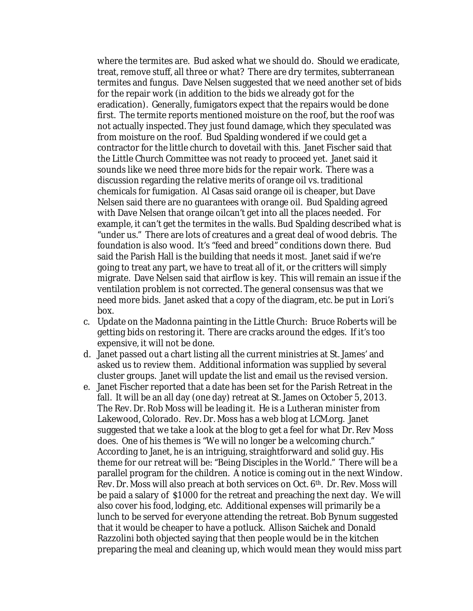where the termites are. Bud asked what we should do. Should we eradicate, treat, remove stuff, all three or what? There are dry termites, subterranean termites and fungus. Dave Nelsen suggested that we need another set of bids for the repair work (in addition to the bids we already got for the eradication). Generally, fumigators expect that the repairs would be done first. The termite reports mentioned moisture on the roof, but the roof was not actually inspected. They just found damage, which they *speculated* was from moisture on the roof. Bud Spalding wondered if we could get a contractor for the little church to dovetail with this. Janet Fischer said that the Little Church Committee was not ready to proceed yet. Janet said it sounds like we need three more bids for the repair work. There was a discussion regarding the relative merits of orange oil vs. traditional chemicals for fumigation. Al Casas said orange oil is cheaper, but Dave Nelsen said there are no guarantees with orange oil. Bud Spalding agreed with Dave Nelsen that orange oilcan't get into all the places needed. For example, it can't get the termites in the walls. Bud Spalding described what is "under us." There are lots of creatures and a great deal of wood debris. The foundation is also wood. It's "feed and breed" conditions down there. Bud said the Parish Hall is the building that needs it most. Janet said if we're going to treat any part, we have to treat all of it, or the critters will simply migrate. Dave Nelsen said that airflow is key. This will remain an issue if the ventilation problem is not corrected. The general consensus was that we need more bids. Janet asked that a copy of the diagram, etc. be put in Lori's box.

- c. Update on the Madonna painting in the Little Church: Bruce Roberts will be getting bids on restoring it. There are cracks around the edges. If it's too expensive, it will not be done.
- d. Janet passed out a chart listing all the current ministries at St. James' and asked us to review them. Additional information was supplied by several cluster groups. Janet will update the list and email us the revised version.
- e. Janet Fischer reported that a date has been set for the Parish Retreat in the fall. It will be an all day (one day) retreat at St. James on October 5, 2013. The Rev. Dr. Rob Moss will be leading it. He is a Lutheran minister from Lakewood, Colorado. Rev. Dr. Moss has a web blog at LCM.org. Janet suggested that we take a look at the blog to get a feel for what Dr. Rev Moss does. One of his themes is "We will no longer be a welcoming church." According to Janet, he is an intriguing, straightforward and solid guy. His theme for our retreat will be: "Being Disciples in the World." There will be a parallel program for the children. A notice is coming out in the next Window. Rev. Dr. Moss will also preach at both services on Oct. 6th. Dr. Rev. Moss will be paid a salary of \$1000 for the retreat and preaching the next day. We will also cover his food, lodging, etc. Additional expenses will primarily be a lunch to be served for everyone attending the retreat. Bob Bynum suggested that it would be cheaper to have a potluck. Allison Saichek and Donald Razzolini both objected saying that then people would be in the kitchen preparing the meal and cleaning up, which would mean they would miss part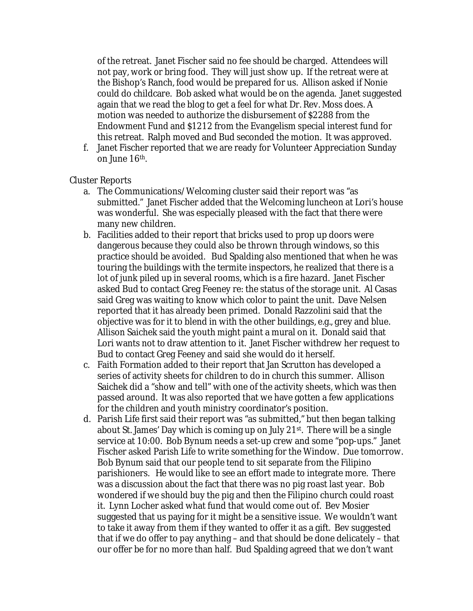of the retreat. Janet Fischer said no fee should be charged. Attendees will not pay, work or bring food. They will just show up. If the retreat were at the Bishop's Ranch, food would be prepared for us. Allison asked if Nonie could do childcare. Bob asked what would be on the agenda. Janet suggested again that we read the blog to get a feel for what Dr. Rev. Moss does. A motion was needed to authorize the disbursement of \$2288 from the Endowment Fund and \$1212 from the Evangelism special interest fund for this retreat. Ralph moved and Bud seconded the motion. It was approved.

f. Janet Fischer reported that we are ready for Volunteer Appreciation Sunday on June 16th.

### Cluster Reports

- a. The Communications/Welcoming cluster said their report was "as submitted." Janet Fischer added that the Welcoming luncheon at Lori's house was wonderful. She was especially pleased with the fact that there were many new children.
- b. Facilities added to their report that bricks used to prop up doors were dangerous because they could also be thrown through windows, so this practice should be avoided. Bud Spalding also mentioned that when he was touring the buildings with the termite inspectors, he realized that there is a lot of junk piled up in several rooms, which is a fire hazard. Janet Fischer asked Bud to contact Greg Feeney re: the status of the storage unit. Al Casas said Greg was waiting to know which color to paint the unit. Dave Nelsen reported that it has already been primed. Donald Razzolini said that the objective was for it to blend in with the other buildings, e.g., grey and blue. Allison Saichek said the youth might paint a mural on it. Donald said that Lori wants not to draw attention to it. Janet Fischer withdrew her request to Bud to contact Greg Feeney and said she would do it herself.
- c. Faith Formation added to their report that Jan Scrutton has developed a series of activity sheets for children to do in church this summer. Allison Saichek did a "show and tell" with one of the activity sheets, which was then passed around. It was also reported that we have gotten a few applications for the children and youth ministry coordinator's position.
- d. Parish Life first said their report was "as submitted," but then began talking about St. James' Day which is coming up on July 21<sup>st</sup>. There will be a single service at 10:00. Bob Bynum needs a set-up crew and some "pop-ups." Janet Fischer asked Parish Life to write something for the Window. Due tomorrow. Bob Bynum said that our people tend to sit separate from the Filipino parishioners. He would like to see an effort made to integrate more. There was a discussion about the fact that there was no pig roast last year. Bob wondered if we should buy the pig and then the Filipino church could roast it. Lynn Locher asked what fund that would come out of. Bev Mosier suggested that us paying for it might be a sensitive issue. We wouldn't want to take it away from them if they wanted to offer it as a gift. Bev suggested that if we do offer to pay anything – and that should be done delicately – that our offer be for no more than half. Bud Spalding agreed that we don't want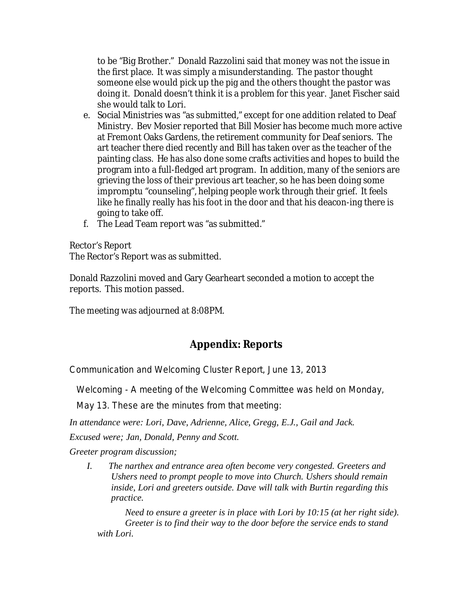to be "Big Brother." Donald Razzolini said that money was not the issue in the first place. It was simply a misunderstanding. The pastor thought someone else would pick up the pig and the others thought the pastor was doing it. Donald doesn't think it is a problem for this year. Janet Fischer said she would talk to Lori.

- e. Social Ministries was "as submitted," except for one addition related to Deaf Ministry. Bev Mosier reported that Bill Mosier has become much more active at Fremont Oaks Gardens, the retirement community for Deaf seniors. The art teacher there died recently and Bill has taken over as the teacher of the painting class. He has also done some crafts activities and hopes to build the program into a full-fledged art program. In addition, many of the seniors are grieving the loss of their previous art teacher, so he has been doing some impromptu "counseling", helping people work through their grief. It feels like he finally really has his foot in the door and that his deacon-ing there is going to take off.
- f. The Lead Team report was "as submitted."

Rector's Report The Rector's Report was as submitted.

Donald Razzolini moved and Gary Gearheart seconded a motion to accept the reports. This motion passed.

The meeting was adjourned at 8:08PM.

## **Appendix: Reports**

Communication and Welcoming Cluster Report, June 13, 2013

Welcoming - A meeting of the Welcoming Committee was held on Monday,

May 13. These are the minutes from that meeting:

*In attendance were: Lori, Dave, Adrienne, Alice, Gregg, E.J., Gail and Jack.* 

*Excused were; Jan, Donald, Penny and Scott.* 

*Greeter program discussion;* 

*I. The narthex and entrance area often become very congested. Greeters and Ushers need to prompt people to move into Church. Ushers should remain inside, Lori and greeters outside. Dave will talk with Burtin regarding this practice.*

*Need to ensure a greeter is in place with Lori by 10:15 (at her right side). Greeter is to find their way to the door before the service ends to stand with Lori.*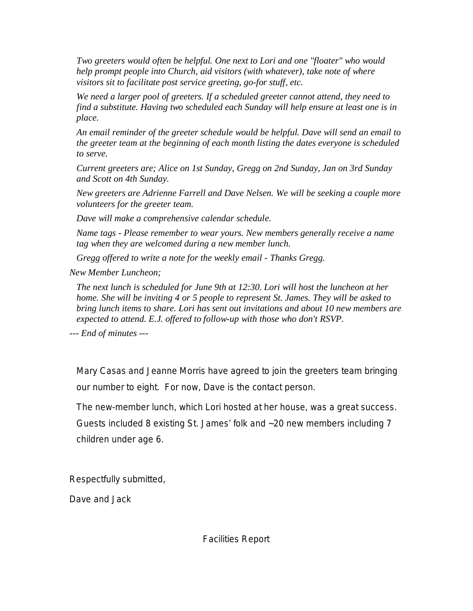*Two greeters would often be helpful. One next to Lori and one "floater" who would help prompt people into Church, aid visitors (with whatever), take note of where visitors sit to facilitate post service greeting, go-for stuff, etc.* 

*We need a larger pool of greeters. If a scheduled greeter cannot attend, they need to find a substitute. Having two scheduled each Sunday will help ensure at least one is in place.* 

*An email reminder of the greeter schedule would be helpful. Dave will send an email to the greeter team at the beginning of each month listing the dates everyone is scheduled to serve.* 

*Current greeters are; Alice on 1st Sunday, Gregg on 2nd Sunday, Jan on 3rd Sunday and Scott on 4th Sunday.* 

*New greeters are Adrienne Farrell and Dave Nelsen. We will be seeking a couple more volunteers for the greeter team.* 

*Dave will make a comprehensive calendar schedule.* 

*Name tags - Please remember to wear yours. New members generally receive a name tag when they are welcomed during a new member lunch.*

*Gregg offered to write a note for the weekly email - Thanks Gregg.* 

*New Member Luncheon;* 

*The next lunch is scheduled for June 9th at 12:30. Lori will host the luncheon at her home. She will be inviting 4 or 5 people to represent St. James. They will be asked to bring lunch items to share. Lori has sent out invitations and about 10 new members are expected to attend. E.J. offered to follow-up with those who don't RSVP.* 

*--- End of minutes ---* 

Mary Casas and Jeanne Morris have agreed to join the greeters team bringing our number to eight. For now, Dave is the contact person.

The new-member lunch, which Lori hosted at her house, was a great success. Guests included 8 existing St. James' folk and ~20 new members including 7 children under age 6.

Respectfully submitted,

Dave and Jack

Facilities Report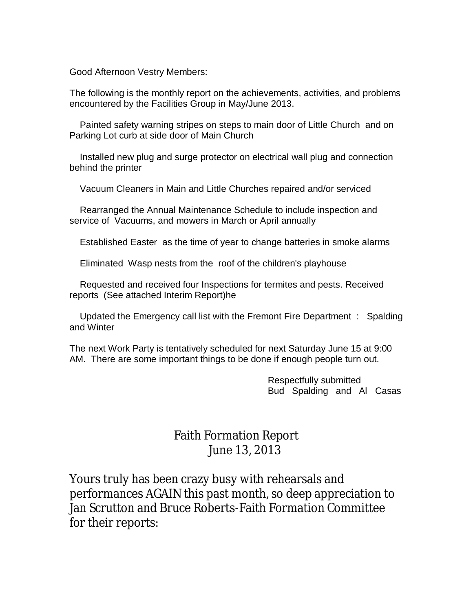Good Afternoon Vestry Members:

The following is the monthly report on the achievements, activities, and problems encountered by the Facilities Group in May/June 2013.

 Painted safety warning stripes on steps to main door of Little Church and on Parking Lot curb at side door of Main Church

 Installed new plug and surge protector on electrical wall plug and connection behind the printer

Vacuum Cleaners in Main and Little Churches repaired and/or serviced

 Rearranged the Annual Maintenance Schedule to include inspection and service of Vacuums, and mowers in March or April annually

Established Easter as the time of year to change batteries in smoke alarms

Eliminated Wasp nests from the roof of the children's playhouse

 Requested and received four Inspections for termites and pests. Received reports (See attached Interim Report)he

 Updated the Emergency call list with the Fremont Fire Department : Spalding and Winter

The next Work Party is tentatively scheduled for next Saturday June 15 at 9:00 AM. There are some important things to be done if enough people turn out.

> Respectfully submitted Bud Spalding and Al Casas

# Faith Formation Report June 13, 2013

Yours truly has been crazy busy with rehearsals and performances AGAIN this past month, so deep appreciation to Jan Scrutton and Bruce Roberts-Faith Formation Committee for their reports: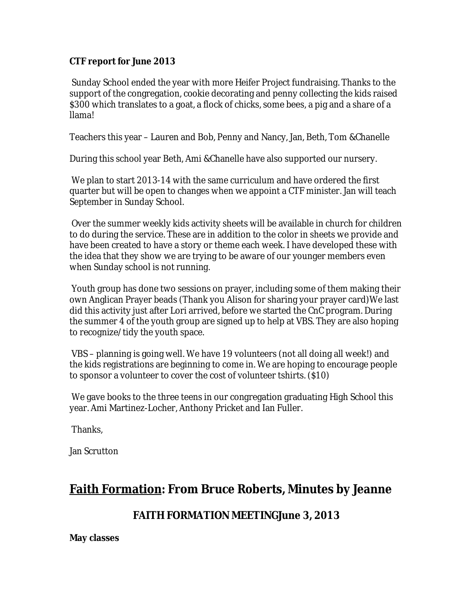## **CTF report for June 2013**

Sunday School ended the year with more Heifer Project fundraising. Thanks to the support of the congregation, cookie decorating and penny collecting the kids raised \$300 which translates to a goat, a flock of chicks, some bees, a pig and a share of a llama!

Teachers this year – Lauren and Bob, Penny and Nancy, Jan, Beth, Tom &Chanelle

During this school year Beth, Ami &Chanelle have also supported our nursery.

 We plan to start 2013-14 with the same curriculum and have ordered the first quarter but will be open to changes when we appoint a CTF minister. Jan will teach September in Sunday School.

Over the summer weekly kids activity sheets will be available in church for children to do during the service. These are in addition to the color in sheets we provide and have been created to have a story or theme each week. I have developed these with the idea that they show we are trying to be aware of our younger members even when Sunday school is not running.

Youth group has done two sessions on prayer, including some of them making their own Anglican Prayer beads (Thank you Alison for sharing your prayer card)We last did this activity just after Lori arrived, before we started the CnC program. During the summer 4 of the youth group are signed up to help at VBS. They are also hoping to recognize/tidy the youth space.

VBS – planning is going well. We have 19 volunteers (not all doing all week!) and the kids registrations are beginning to come in. We are hoping to encourage people to sponsor a volunteer to cover the cost of volunteer tshirts. (\$10)

 We gave books to the three teens in our congregation graduating High School this year. Ami Martinez-Locher, Anthony Pricket and Ian Fuller.

Thanks,

Jan Scrutton

# **Faith Formation: From Bruce Roberts, Minutes by Jeanne**

## **FAITH FORMATION MEETINGJune 3, 2013**

**May classes**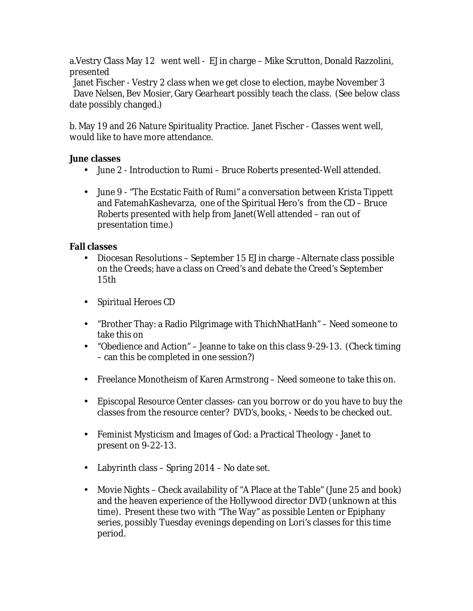a.Vestry Class May 12 went well - EJ in charge – Mike Scrutton, Donald Razzolini, presented

 Janet Fischer - Vestry 2 class when we get close to election, maybe November 3 Dave Nelsen, Bev Mosier, Gary Gearheart possibly teach the class. (See below class date possibly changed.)

b. May 19 and 26 Nature Spirituality Practice. Janet Fischer - Classes went well, would like to have more attendance.

**June classes** 

- June 2 Introduction to Rumi Bruce Roberts presented-Well attended.
- June 9 "The Ecstatic Faith of Rumi" a conversation between Krista Tippett and FatemahKashevarza, one of the Spiritual Hero's from the CD – Bruce Roberts presented with help from Janet(Well attended – ran out of presentation time.)

**Fall classes** 

- Diocesan Resolutions September 15 EJ in charge –Alternate class possible on the Creeds; have a class on Creed's and debate the Creed's September 15th
- Spiritual Heroes CD
- "Brother Thay: a Radio Pilgrimage with ThichNhatHanh" Need someone to take this on
- "Obedience and Action" Jeanne to take on this class 9-29-13. (Check timing – can this be completed in one session?)
- Freelance Monotheism of Karen Armstrong Need someone to take this on.
- Episcopal Resource Center classes- can you borrow or do you have to buy the classes from the resource center? DVD's, books, - Needs to be checked out.
- Feminist Mysticism and Images of God: a Practical Theology Janet to present on 9-22-13.
- Labyrinth class Spring 2014 No date set.
- Movie Nights Check availability of "A Place at the Table" (June 25 and book) and the heaven experience of the Hollywood director DVD (unknown at this time). Present these two with "The Way" as possible Lenten or Epiphany series, possibly Tuesday evenings depending on Lori's classes for this time period.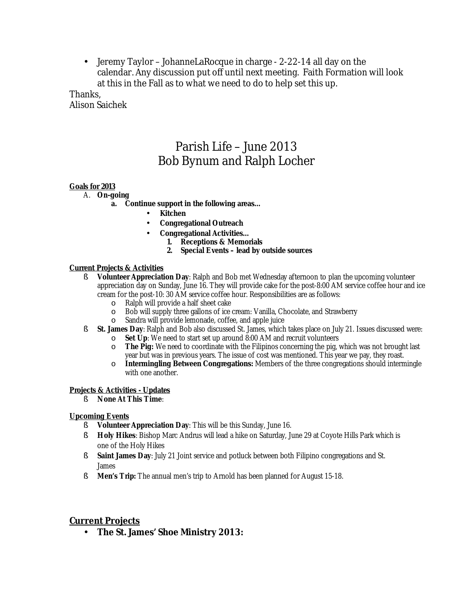• Jeremy Taylor – JohanneLaRocque in charge - 2-22-14 all day on the calendar. Any discussion put off until next meeting. Faith Formation will look at this in the Fall as to what we need to do to help set this up.

Thanks, Alison Saichek

# Parish Life – June 2013 Bob Bynum and Ralph Locher

#### **Goals for 2013**

- A. **On-going** 
	- **a. Continue support in the following areas…** 
		- **Kitchen**
		- **Congregational Outreach**
		- **Congregational Activities…** 
			- **1. Receptions & Memorials** 
				- **2. Special Events – lead by outside sources**

#### **Current Projects & Activities**

- § **Volunteer Appreciation Day**: Ralph and Bob met Wednesday afternoon to plan the upcoming volunteer appreciation day on Sunday, June 16. They will provide cake for the post-8:00 AM service coffee hour and ice cream for the post-10: 30 AM service coffee hour. Responsibilities are as follows:
	- o Ralph will provide a half sheet cake
	- o Bob will supply three gallons of ice cream: Vanilla, Chocolate, and Strawberry
	- o Sandra will provide lemonade, coffee, and apple juice
- § **St. James Day**: Ralph and Bob also discussed St. James, which takes place on July 21. Issues discussed were: o **Set Up**: We need to start set up around 8:00 AM and recruit volunteers
	- o **The Pig:** We need to coordinate with the Filipinos concerning the pig, which was not brought last year but was in previous years. The issue of cost was mentioned. This year we pay, they roast.
	- o **Intermingling Between Congregations:** Members of the three congregations should intermingle with one another.

#### **Projects & Activities - Updates**

§ **None At This Time**:

#### **Upcoming Events**

- § **Volunteer Appreciation Day**: This will be this Sunday, June 16.
- § **Holy Hikes**: Bishop Marc Andrus will lead a hike on Saturday, June 29 at Coyote Hills Park which is one of the Holy Hikes
- § **Saint James Day**: July 21 Joint service and potluck between both Filipino congregations and St. James
- § **Men's Trip:** The annual men's trip to Arnold has been planned for August 15-18.

#### **Current Projects**

• **The St. James' Shoe Ministry 2013:**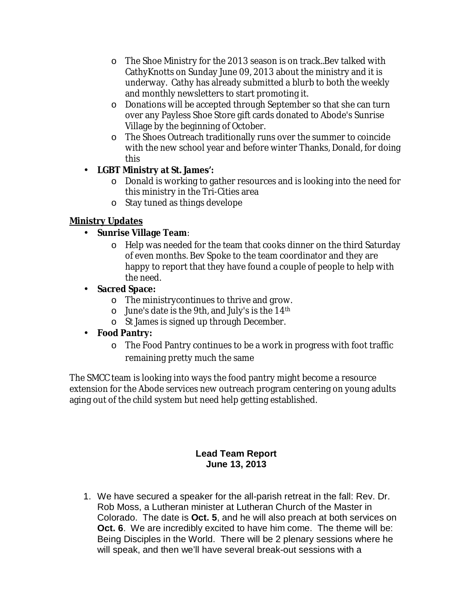- o The Shoe Ministry for the 2013 season is on track..Bev talked with CathyKnotts on Sunday June 09, 2013 about the ministry and it is underway. Cathy has already submitted a blurb to both the weekly and monthly newsletters to start promoting it.
- o Donations will be accepted through September so that she can turn over any Payless Shoe Store gift cards donated to Abode's Sunrise Village by the beginning of October.
- o The Shoes Outreach traditionally runs over the summer to coincide with the new school year and before winter Thanks, Donald, for doing this
- **LGBT Ministry at St. James':** 
	- o Donald is working to gather resources and is looking into the need for this ministry in the Tri-Cities area
	- o Stay tuned as things develope

## **Ministry Updates**

- **Sunrise Village Team**:
	- o Help was needed for the team that cooks dinner on the third Saturday of even months. Bev Spoke to the team coordinator and they are happy to report that they have found a couple of people to help with the need.
- **Sacred Space:**
	- o The ministrycontinues to thrive and grow.
	- $\circ$  June's date is the 9th, and July's is the 14<sup>th</sup>
	- o St James is signed up through December.
- **Food Pantry:** 
	- o The Food Pantry continues to be a work in progress with foot traffic remaining pretty much the same

The SMCC team is looking into ways the food pantry might become a resource extension for the Abode services new outreach program centering on young adults aging out of the child system but need help getting established.

## **Lead Team Report June 13, 2013**

1. We have secured a speaker for the all-parish retreat in the fall: Rev. Dr. Rob Moss, a Lutheran minister at Lutheran Church of the Master in Colorado. The date is **Oct. 5**, and he will also preach at both services on **Oct. 6**. We are incredibly excited to have him come. The theme will be: Being Disciples in the World. There will be 2 plenary sessions where he will speak, and then we'll have several break-out sessions with a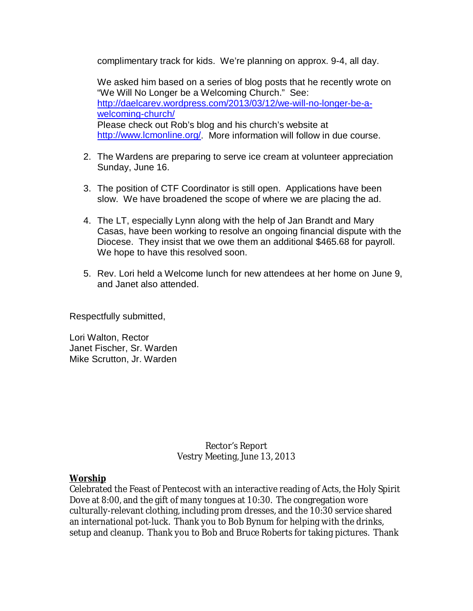complimentary track for kids. We're planning on approx. 9-4, all day.

We asked him based on a series of blog posts that he recently wrote on "We Will No Longer be a Welcoming Church." See: <http://daelcarev.wordpress.com/2013/03/12/we-will-no-longer-be-a>welcoming-church/ Please check out Rob's blog and his church's website at <http://www.lcmonline.org/>. More information will follow in due course.

- 2. The Wardens are preparing to serve ice cream at volunteer appreciation Sunday, June 16.
- 3. The position of CTF Coordinator is still open. Applications have been slow. We have broadened the scope of where we are placing the ad.
- 4. The LT, especially Lynn along with the help of Jan Brandt and Mary Casas, have been working to resolve an ongoing financial dispute with the Diocese. They insist that we owe them an additional \$465.68 for payroll. We hope to have this resolved soon.
- 5. Rev. Lori held a Welcome lunch for new attendees at her home on June 9, and Janet also attended.

Respectfully submitted,

Lori Walton, Rector Janet Fischer, Sr. Warden Mike Scrutton, Jr. Warden

> Rector's Report Vestry Meeting, June 13, 2013

**Worship**

Celebrated the Feast of Pentecost with an interactive reading of Acts, the Holy Spirit Dove at 8:00, and the gift of many tongues at 10:30. The congregation wore culturally-relevant clothing, including prom dresses, and the 10:30 service shared an international pot-luck. Thank you to Bob Bynum for helping with the drinks, setup and cleanup. Thank you to Bob and Bruce Roberts for taking pictures. Thank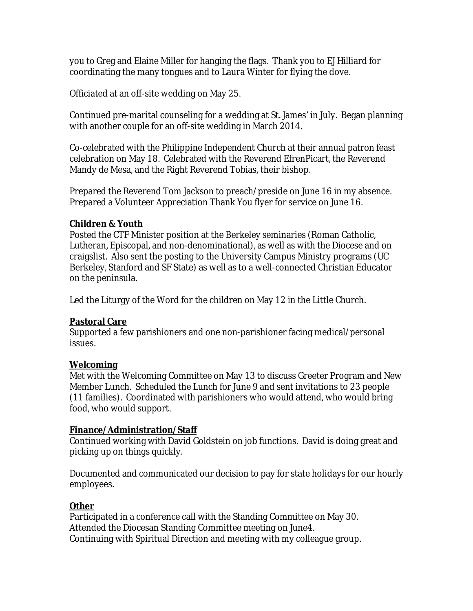you to Greg and Elaine Miller for hanging the flags. Thank you to EJ Hilliard for coordinating the many tongues and to Laura Winter for flying the dove.

Officiated at an off-site wedding on May 25.

Continued pre-marital counseling for a wedding at St. James' in July. Began planning with another couple for an off-site wedding in March 2014.

Co-celebrated with the Philippine Independent Church at their annual patron feast celebration on May 18. Celebrated with the Reverend EfrenPicart, the Reverend Mandy de Mesa, and the Right Reverend Tobias, their bishop.

Prepared the Reverend Tom Jackson to preach/preside on June 16 in my absence. Prepared a Volunteer Appreciation Thank You flyer for service on June 16.

## **Children & Youth**

Posted the CTF Minister position at the Berkeley seminaries (Roman Catholic, Lutheran, Episcopal, and non-denominational), as well as with the Diocese and on craigslist. Also sent the posting to the University Campus Ministry programs (UC Berkeley, Stanford and SF State) as well as to a well-connected Christian Educator on the peninsula.

Led the Liturgy of the Word for the children on May 12 in the Little Church.

## **Pastoral Care**

Supported a few parishioners and one non-parishioner facing medical/personal issues.

## **Welcoming**

Met with the Welcoming Committee on May 13 to discuss Greeter Program and New Member Lunch. Scheduled the Lunch for June 9 and sent invitations to 23 people (11 families). Coordinated with parishioners who would attend, who would bring food, who would support.

## **Finance/Administration/Staff**

Continued working with David Goldstein on job functions. David is doing great and picking up on things quickly.

Documented and communicated our decision to pay for state holidays for our hourly employees.

## **Other**

Participated in a conference call with the Standing Committee on May 30. Attended the Diocesan Standing Committee meeting on June4. Continuing with Spiritual Direction and meeting with my colleague group.